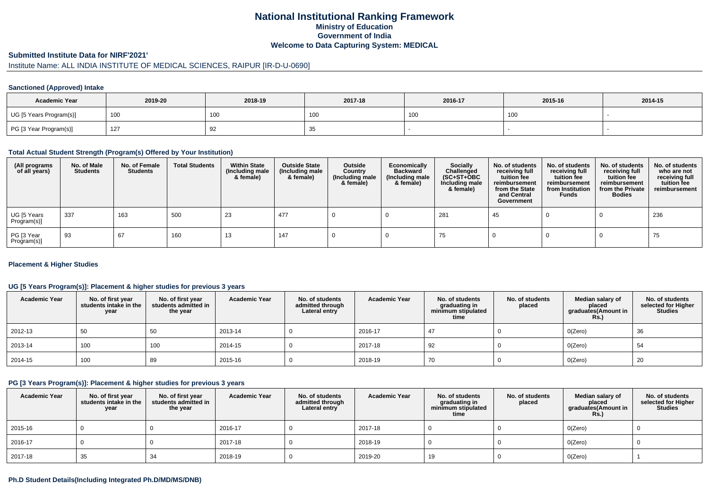## **National Institutional Ranking FrameworkMinistry of Education Government of IndiaWelcome to Data Capturing System: MEDICAL**

### **Submitted Institute Data for NIRF'2021'**

# Institute Name: ALL INDIA INSTITUTE OF MEDICAL SCIENCES, RAIPUR [IR-D-U-0690]

#### **Sanctioned (Approved) Intake**

| <b>Academic Year</b>    | 2019-20 | 2018-19    | 2017-18 |     | 2015-16 | 2014-15 |
|-------------------------|---------|------------|---------|-----|---------|---------|
| UG [5 Years Program(s)] | 100     | <b>100</b> | , UU    | 100 | 100     |         |
| PG [3 Year Program(s)]  | 127     | ັ          | -2<br>ູ |     |         |         |

#### **Total Actual Student Strength (Program(s) Offered by Your Institution)**

| (All programs<br>of all years) | No. of Male<br><b>Students</b> | No. of Female<br>Students | <b>Total Students</b> | <b>Within State</b><br>(Including male<br>& female) | <b>Outside State</b><br>(Including male<br>& female) | Outside<br>Country<br>(Including male<br>& female) | Economically<br><b>Backward</b><br>(Including male<br>& female) | <b>Socially</b><br>Challenged<br>$(SC+ST+OBC)$<br>Including male<br>& female) | No. of students<br>receiving full<br>tuition fee<br>reimbursement<br>from the State<br>and Central<br>Government | No. of students<br>receiving full<br>tuition fee<br>reimbursement<br>from Institution<br><b>Funds</b> | No. of students<br>receiving full<br>tuition fee<br>reimbursement<br>from the Private<br><b>Bodies</b> | No. of students<br>who are not<br>receiving full<br>tuition fee<br>reimbursement |
|--------------------------------|--------------------------------|---------------------------|-----------------------|-----------------------------------------------------|------------------------------------------------------|----------------------------------------------------|-----------------------------------------------------------------|-------------------------------------------------------------------------------|------------------------------------------------------------------------------------------------------------------|-------------------------------------------------------------------------------------------------------|--------------------------------------------------------------------------------------------------------|----------------------------------------------------------------------------------|
| UG [5 Years<br>Program(s)]     | 337                            | 163                       | 500                   | 23                                                  | 477                                                  |                                                    |                                                                 | 281                                                                           | 45                                                                                                               |                                                                                                       |                                                                                                        | 236                                                                              |
| PG [3 Year<br>Program(s)]      | 93                             | 67                        | 160                   | 13                                                  | 147                                                  |                                                    |                                                                 | 75                                                                            |                                                                                                                  |                                                                                                       |                                                                                                        | 75                                                                               |

#### **Placement & Higher Studies**

### **UG [5 Years Program(s)]: Placement & higher studies for previous 3 years**

| <b>Academic Year</b> | No. of first year<br>students intake in the<br>year | No. of first year<br>students admitted in<br>the year | <b>Academic Year</b> | No. of students<br>admitted through<br>Lateral entry | <b>Academic Year</b> | No. of students<br>graduating in<br>minimum stipulated<br>time | No. of students<br>placed | Median salary of<br>placed<br>graduates(Amount in<br><b>Rs.)</b> | No. of students<br>selected for Higher<br><b>Studies</b> |
|----------------------|-----------------------------------------------------|-------------------------------------------------------|----------------------|------------------------------------------------------|----------------------|----------------------------------------------------------------|---------------------------|------------------------------------------------------------------|----------------------------------------------------------|
| 2012-13              | 50                                                  | 50                                                    | 2013-14              |                                                      | 2016-17              | 47                                                             |                           | O(Zero)                                                          | 36                                                       |
| 2013-14              | 100                                                 | 100                                                   | 2014-15              |                                                      | 2017-18              | 92                                                             |                           | O(Zero)                                                          | 54                                                       |
| 2014-15              | 100                                                 | 89                                                    | 2015-16              |                                                      | 2018-19              | 70                                                             |                           | O(Zero)                                                          | 20                                                       |

#### **PG [3 Years Program(s)]: Placement & higher studies for previous 3 years**

| <b>Academic Year</b> | No. of first year<br>students intake in the<br>year | No. of first year<br>students admitted in<br>the year | <b>Academic Year</b> | No. of students<br>admitted through<br>Lateral entry | <b>Academic Year</b> | No. of students<br>graduating in<br>minimum stipulated<br>time | No. of students<br>placed | Median salary of<br>placed<br>graduates(Amount in<br><b>Rs.)</b> | No. of students<br>selected for Higher<br><b>Studies</b> |
|----------------------|-----------------------------------------------------|-------------------------------------------------------|----------------------|------------------------------------------------------|----------------------|----------------------------------------------------------------|---------------------------|------------------------------------------------------------------|----------------------------------------------------------|
| 2015-16              |                                                     |                                                       | 2016-17              |                                                      | 2017-18              |                                                                |                           | O(Zero)                                                          |                                                          |
| 2016-17              |                                                     |                                                       | 2017-18              |                                                      | 2018-19              |                                                                |                           | O(Zero)                                                          |                                                          |
| 2017-18              | 35                                                  | 34                                                    | 2018-19              |                                                      | 2019-20              | 19                                                             |                           | O(Zero)                                                          |                                                          |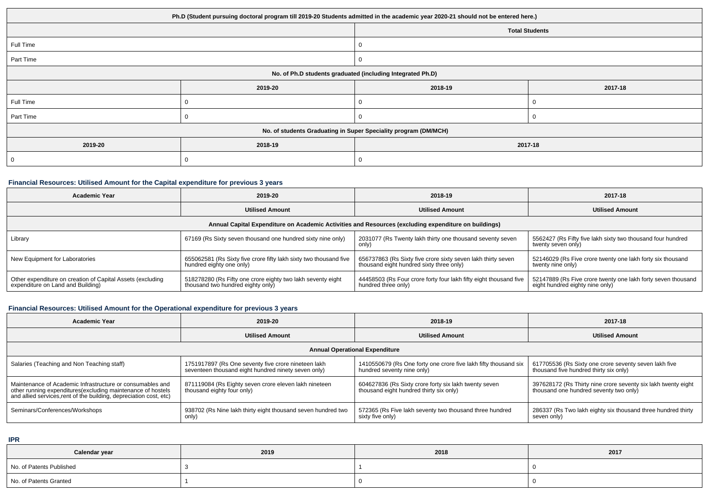| Ph.D (Student pursuing doctoral program till 2019-20 Students admitted in the academic year 2020-21 should not be entered here.) |                               |                                                                 |  |  |  |  |  |
|----------------------------------------------------------------------------------------------------------------------------------|-------------------------------|-----------------------------------------------------------------|--|--|--|--|--|
|                                                                                                                                  | <b>Total Students</b>         |                                                                 |  |  |  |  |  |
| Full Time                                                                                                                        |                               |                                                                 |  |  |  |  |  |
| Part Time                                                                                                                        |                               | 0                                                               |  |  |  |  |  |
| No. of Ph.D students graduated (including Integrated Ph.D)                                                                       |                               |                                                                 |  |  |  |  |  |
|                                                                                                                                  | 2019-20<br>2018-19<br>2017-18 |                                                                 |  |  |  |  |  |
| Full Time                                                                                                                        |                               | 0                                                               |  |  |  |  |  |
| Part Time                                                                                                                        |                               | 0                                                               |  |  |  |  |  |
|                                                                                                                                  |                               | No. of students Graduating in Super Speciality program (DM/MCH) |  |  |  |  |  |
| 2019-20<br>2018-19<br>2017-18                                                                                                    |                               |                                                                 |  |  |  |  |  |
|                                                                                                                                  | 0                             |                                                                 |  |  |  |  |  |

## **Financial Resources: Utilised Amount for the Capital expenditure for previous 3 years**

| Academic Year                                                                                        | 2019-20                                                                                          | 2018-19                                                                                                  | 2017-18                                                                                         |  |  |  |  |  |  |
|------------------------------------------------------------------------------------------------------|--------------------------------------------------------------------------------------------------|----------------------------------------------------------------------------------------------------------|-------------------------------------------------------------------------------------------------|--|--|--|--|--|--|
|                                                                                                      | <b>Utilised Amount</b>                                                                           | <b>Utilised Amount</b>                                                                                   | <b>Utilised Amount</b>                                                                          |  |  |  |  |  |  |
| Annual Capital Expenditure on Academic Activities and Resources (excluding expenditure on buildings) |                                                                                                  |                                                                                                          |                                                                                                 |  |  |  |  |  |  |
| Library                                                                                              | 67169 (Rs Sixty seven thousand one hundred sixty nine only)                                      | 2031077 (Rs Twenty lakh thirty one thousand seventy seven<br>only)                                       | 5562427 (Rs Fifty five lakh sixty two thousand four hundred<br>twenty seven only)               |  |  |  |  |  |  |
| New Equipment for Laboratories                                                                       | 655062581 (Rs Sixty five crore fifty lakh sixty two thousand five<br>hundred eighty one only)    | 656737863 (Rs Sixty five crore sixty seven lakh thirty seven<br>thousand eight hundred sixty three only) | 52146029 (Rs Five crore twenty one lakh forty six thousand<br>twenty nine only)                 |  |  |  |  |  |  |
| Other expenditure on creation of Capital Assets (excluding<br>expenditure on Land and Building)      | 518278280 (Rs Fifty one crore eighty two lakh seventy eight<br>thousand two hundred eighty only) | 44458503 (Rs Four crore forty four lakh fifty eight thousand five<br>hundred three only)                 | 52147889 (Rs Five crore twenty one lakh forty seven thousand<br>eight hundred eighty nine only) |  |  |  |  |  |  |

## **Financial Resources: Utilised Amount for the Operational expenditure for previous 3 years**

| Academic Year                                                                                                                                                                                   | 2019-20                                                                                                    | 2018-19                                                                                          | 2017-18                                                                                                 |  |  |  |  |  |
|-------------------------------------------------------------------------------------------------------------------------------------------------------------------------------------------------|------------------------------------------------------------------------------------------------------------|--------------------------------------------------------------------------------------------------|---------------------------------------------------------------------------------------------------------|--|--|--|--|--|
|                                                                                                                                                                                                 | <b>Utilised Amount</b>                                                                                     | <b>Utilised Amount</b>                                                                           | <b>Utilised Amount</b>                                                                                  |  |  |  |  |  |
| <b>Annual Operational Expenditure</b>                                                                                                                                                           |                                                                                                            |                                                                                                  |                                                                                                         |  |  |  |  |  |
| Salaries (Teaching and Non Teaching staff)                                                                                                                                                      | 1751917897 (Rs One seventy five crore nineteen lakh<br>seventeen thousand eight hundred ninety seven only) | 1410550679 (Rs One forty one crore five lakh fifty thousand six<br>hundred seventy nine only)    | 617705536 (Rs Sixty one crore seventy seven lakh five<br>thousand five hundred thirty six only)         |  |  |  |  |  |
| Maintenance of Academic Infrastructure or consumables and<br>other running expenditures (excluding maintenance of hostels<br>and allied services, rent of the building, depreciation cost, etc) | 871119084 (Rs Eighty seven crore eleven lakh nineteen<br>thousand eighty four only)                        | 604627836 (Rs Sixty crore forty six lakh twenty seven<br>thousand eight hundred thirty six only) | 397628172 (Rs Thirty nine crore seventy six lakh twenty eight<br>thousand one hundred seventy two only) |  |  |  |  |  |
| Seminars/Conferences/Workshops                                                                                                                                                                  | 938702 (Rs Nine lakh thirty eight thousand seven hundred two<br>only)                                      | 572365 (Rs Five lakh seventy two thousand three hundred<br>sixty five only)                      | 286337 (Rs Two lakh eighty six thousand three hundred thirty<br>seven only)                             |  |  |  |  |  |

**IPR**

| Calendar year            | 2019 | 2018 | 2017 |
|--------------------------|------|------|------|
| No. of Patents Published |      |      |      |
| No. of Patents Granted   |      |      |      |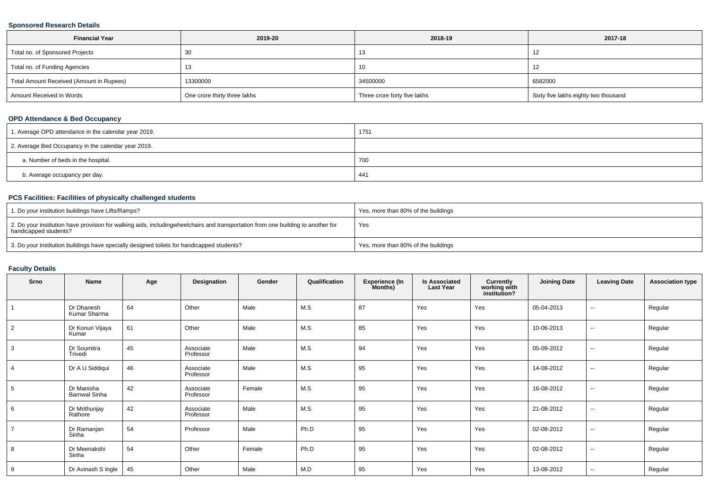### **Sponsored Research Details**

| <b>Financial Year</b>                    | 2019-20                      | 2018-19                      | 2017-18                              |
|------------------------------------------|------------------------------|------------------------------|--------------------------------------|
| Total no. of Sponsored Projects          |                              | 10                           | 12                                   |
| Total no. of Funding Agencies            | כ ו                          | 10                           | -12                                  |
| Total Amount Received (Amount in Rupees) | 13300000                     | 34500000                     | 6582000                              |
| Amount Received in Words                 | One crore thirty three lakhs | Three crore forty five lakhs | Sixty five lakhs eighty two thousand |

### **OPD Attendance & Bed Occupancy**

| 1. Average OPD attendance in the calendar year 2019. | 1751 |
|------------------------------------------------------|------|
| 2. Average Bed Occupancy in the calendar year 2019.  |      |
| a. Number of beds in the hospital.                   | 700  |
| b. Average occupancy per day.                        | 441  |

## **PCS Facilities: Facilities of physically challenged students**

| 1. Do your institution buildings have Lifts/Ramps?                                                                                                        | Yes, more than 80% of the buildings |
|-----------------------------------------------------------------------------------------------------------------------------------------------------------|-------------------------------------|
| 2. Do your institution have provision for walking aids, includingwheelchairs and transportation from one building to another for<br>handicapped students? | Yes                                 |
| 3. Do your institution buildings have specially designed toilets for handicapped students?                                                                | Yes, more than 80% of the buildings |

### **Faculty Details**

| Srno           | <b>Name</b>                        | Age | Designation            | Gender | Qualification | <b>Experience (In</b><br>Months) | <b>Is Associated</b><br><b>Last Year</b> | Currently<br>working with<br>institution? | <b>Joining Date</b> | <b>Leaving Date</b> | <b>Association type</b> |
|----------------|------------------------------------|-----|------------------------|--------|---------------|----------------------------------|------------------------------------------|-------------------------------------------|---------------------|---------------------|-------------------------|
|                | Dr Dhanesh<br>Kumar Sharma         | 64  | Other                  | Male   | M.S           | 87                               | Yes                                      | Yes                                       | 05-04-2013          | $\sim$              | Regular                 |
| $\overline{2}$ | Dr Konuri Vijaya<br>Kumar          | 61  | Other                  | Male   | M.S           | 85                               | Yes                                      | Yes                                       | 10-06-2013          | $\sim$              | Regular                 |
| 3              | Dr Soumitra<br>Trivedi             | 45  | Associate<br>Professor | Male   | M.S           | 94                               | Yes                                      | Yes                                       | 05-09-2012          | $\sim$              | Regular                 |
| $\overline{4}$ | Dr A U Siddiqui                    | 46  | Associate<br>Professor | Male   | M.S           | 95                               | Yes                                      | Yes                                       | 14-08-2012          | $\sim$              | Regular                 |
| 5              | Dr Manisha<br><b>Barnwal Sinha</b> | 42  | Associate<br>Professor | Female | M.S           | 95                               | Yes                                      | Yes                                       | 16-08-2012          | $\sim$              | Regular                 |
| 6              | Dr Mrithunjay<br>Rathore           | 42  | Associate<br>Professor | Male   | M.S           | 95                               | Yes                                      | Yes                                       | 21-08-2012          | $\sim$              | Regular                 |
| $\overline{7}$ | Dr Ramanjan<br>Sinha               | 54  | Professor              | Male   | Ph.D          | 95                               | Yes                                      | Yes                                       | 02-08-2012          | $\sim$              | Regular                 |
| 8              | Dr Meenakshi<br>Sinha              | 54  | Other                  | Female | Ph.D          | 95                               | Yes                                      | Yes                                       | 02-08-2012          | $\sim$              | Regular                 |
| 9              | Dr Avinash S Ingle                 | 45  | Other                  | Male   | M.D           | 95                               | Yes                                      | Yes                                       | 13-08-2012          | $\sim$              | Regular                 |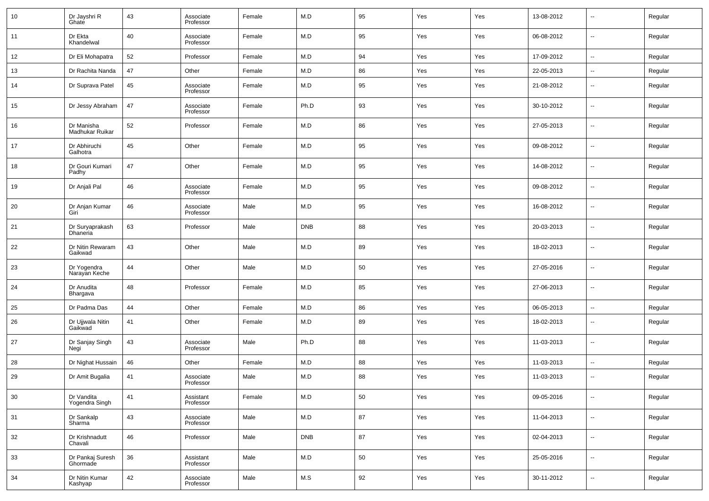| 10     | Dr Jayshri R<br>Ghate         | 43 | Associate<br>Professor | Female | M.D        | 95 | Yes | Yes | 13-08-2012 | $\overline{\phantom{a}}$ | Regular |
|--------|-------------------------------|----|------------------------|--------|------------|----|-----|-----|------------|--------------------------|---------|
| 11     | Dr Ekta<br>Khandelwal         | 40 | Associate<br>Professor | Female | M.D        | 95 | Yes | Yes | 06-08-2012 | $\overline{\phantom{a}}$ | Regular |
| 12     | Dr Eli Mohapatra              | 52 | Professor              | Female | M.D        | 94 | Yes | Yes | 17-09-2012 | $\overline{\phantom{a}}$ | Regular |
| 13     | Dr Rachita Nanda              | 47 | Other                  | Female | M.D        | 86 | Yes | Yes | 22-05-2013 | $\sim$                   | Regular |
| 14     | Dr Suprava Patel              | 45 | Associate<br>Professor | Female | M.D        | 95 | Yes | Yes | 21-08-2012 | $\overline{\phantom{a}}$ | Regular |
| 15     | Dr Jessy Abraham              | 47 | Associate<br>Professor | Female | Ph.D       | 93 | Yes | Yes | 30-10-2012 | $\sim$                   | Regular |
| 16     | Dr Manisha<br>Madhukar Ruikar | 52 | Professor              | Female | M.D        | 86 | Yes | Yes | 27-05-2013 | $\overline{\phantom{a}}$ | Regular |
| 17     | Dr Abhiruchi<br>Galhotra      | 45 | Other                  | Female | M.D        | 95 | Yes | Yes | 09-08-2012 | $\sim$                   | Regular |
| 18     | Dr Gouri Kumari<br>Padhy      | 47 | Other                  | Female | M.D        | 95 | Yes | Yes | 14-08-2012 | $\overline{\phantom{a}}$ | Regular |
| 19     | Dr Anjali Pal                 | 46 | Associate<br>Professor | Female | M.D        | 95 | Yes | Yes | 09-08-2012 | $\overline{\phantom{a}}$ | Regular |
| 20     | Dr Anjan Kumar<br>Giri        | 46 | Associate<br>Professor | Male   | M.D        | 95 | Yes | Yes | 16-08-2012 | $\overline{\phantom{a}}$ | Regular |
| 21     | Dr Suryaprakash<br>Dhaneria   | 63 | Professor              | Male   | <b>DNB</b> | 88 | Yes | Yes | 20-03-2013 | $\overline{\phantom{a}}$ | Regular |
| 22     | Dr Nitin Rewaram<br>Gaikwad   | 43 | Other                  | Male   | M.D        | 89 | Yes | Yes | 18-02-2013 | $\sim$                   | Regular |
| 23     | Dr Yogendra<br>Narayan Keche  | 44 | Other                  | Male   | M.D        | 50 | Yes | Yes | 27-05-2016 | $\sim$                   | Regular |
| 24     | Dr Anudita<br>Bhargava        | 48 | Professor              | Female | M.D        | 85 | Yes | Yes | 27-06-2013 | $\sim$                   | Regular |
| 25     | Dr Padma Das                  | 44 | Other                  | Female | M.D        | 86 | Yes | Yes | 06-05-2013 | $\overline{\phantom{a}}$ | Regular |
| 26     | Dr Ujjwala Nitin<br>Gaikwad   | 41 | Other                  | Female | M.D        | 89 | Yes | Yes | 18-02-2013 | --                       | Regular |
| 27     | Dr Sanjay Singh<br>Negi       | 43 | Associate<br>Professor | Male   | Ph.D       | 88 | Yes | Yes | 11-03-2013 | --                       | Regular |
| 28     | Dr Nighat Hussain             | 46 | Other                  | Female | M.D        | 88 | Yes | Yes | 11-03-2013 | $\sim$                   | Regular |
| 29     | Dr Amit Bugalia               | 41 | Associate<br>Professor | Male   | M.D        | 88 | Yes | Yes | 11-03-2013 | $\overline{\phantom{a}}$ | Regular |
| $30\,$ | Dr Vandita<br>Yogendra Singh  | 41 | Assistant<br>Professor | Female | M.D        | 50 | Yes | Yes | 09-05-2016 | ш,                       | Regular |
| 31     | Dr Sankalp<br>Sharma          | 43 | Associate<br>Professor | Male   | M.D        | 87 | Yes | Yes | 11-04-2013 | $\overline{\phantom{a}}$ | Regular |
| 32     | Dr Krishnadutt<br>Chavali     | 46 | Professor              | Male   | <b>DNB</b> | 87 | Yes | Yes | 02-04-2013 | $\overline{\phantom{a}}$ | Regular |
| 33     | Dr Pankaj Suresh<br>Ghormade  | 36 | Assistant<br>Professor | Male   | M.D        | 50 | Yes | Yes | 25-05-2016 | $\overline{\phantom{a}}$ | Regular |
| 34     | Dr Nitin Kumar<br>Kashyap     | 42 | Associate<br>Professor | Male   | M.S        | 92 | Yes | Yes | 30-11-2012 | ш,                       | Regular |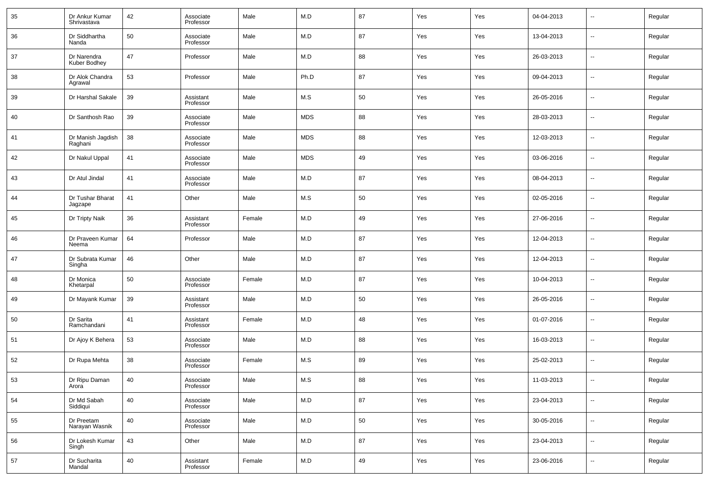| 35 | Dr Ankur Kumar<br>Shrivastava | 42 | Associate<br>Professor | Male   | M.D                     | 87 | Yes | Yes | 04-04-2013 | $\overline{\phantom{a}}$ | Regular |
|----|-------------------------------|----|------------------------|--------|-------------------------|----|-----|-----|------------|--------------------------|---------|
| 36 | Dr Siddhartha<br>Nanda        | 50 | Associate<br>Professor | Male   | M.D                     | 87 | Yes | Yes | 13-04-2013 | $\overline{\phantom{a}}$ | Regular |
| 37 | Dr Narendra<br>Kuber Bodhey   | 47 | Professor              | Male   | M.D                     | 88 | Yes | Yes | 26-03-2013 | $\sim$                   | Regular |
| 38 | Dr Alok Chandra<br>Agrawal    | 53 | Professor              | Male   | Ph.D                    | 87 | Yes | Yes | 09-04-2013 | --                       | Regular |
| 39 | Dr Harshal Sakale             | 39 | Assistant<br>Professor | Male   | M.S                     | 50 | Yes | Yes | 26-05-2016 | $\overline{\phantom{a}}$ | Regular |
| 40 | Dr Santhosh Rao               | 39 | Associate<br>Professor | Male   | <b>MDS</b>              | 88 | Yes | Yes | 28-03-2013 | --                       | Regular |
| 41 | Dr Manish Jagdish<br>Raghani  | 38 | Associate<br>Professor | Male   | <b>MDS</b>              | 88 | Yes | Yes | 12-03-2013 | $\overline{\phantom{a}}$ | Regular |
| 42 | Dr Nakul Uppal                | 41 | Associate<br>Professor | Male   | <b>MDS</b>              | 49 | Yes | Yes | 03-06-2016 | $\overline{\phantom{a}}$ | Regular |
| 43 | Dr Atul Jindal                | 41 | Associate<br>Professor | Male   | M.D                     | 87 | Yes | Yes | 08-04-2013 | $\overline{\phantom{a}}$ | Regular |
| 44 | Dr Tushar Bharat<br>Jagzape   | 41 | Other                  | Male   | M.S                     | 50 | Yes | Yes | 02-05-2016 | $\overline{\phantom{a}}$ | Regular |
| 45 | Dr Tripty Naik                | 36 | Assistant<br>Professor | Female | M.D                     | 49 | Yes | Yes | 27-06-2016 | --                       | Regular |
| 46 | Dr Praveen Kumar<br>Neema     | 64 | Professor              | Male   | M.D                     | 87 | Yes | Yes | 12-04-2013 | $\overline{\phantom{a}}$ | Regular |
| 47 | Dr Subrata Kumar<br>Singha    | 46 | Other                  | Male   | M.D                     | 87 | Yes | Yes | 12-04-2013 | $\overline{\phantom{a}}$ | Regular |
| 48 | Dr Monica<br>Khetarpal        | 50 | Associate<br>Professor | Female | M.D                     | 87 | Yes | Yes | 10-04-2013 | $\overline{\phantom{a}}$ | Regular |
| 49 | Dr Mayank Kumar               | 39 | Assistant<br>Professor | Male   | M.D                     | 50 | Yes | Yes | 26-05-2016 | $\overline{\phantom{a}}$ | Regular |
| 50 | Dr Sarita<br>Ramchandani      | 41 | Assistant<br>Professor | Female | M.D                     | 48 | Yes | Yes | 01-07-2016 | $\overline{\phantom{a}}$ | Regular |
| 51 | Dr Ajoy K Behera              | 53 | Associate<br>Professor | Male   | M.D                     | 88 | Yes | Yes | 16-03-2013 | $\overline{\phantom{a}}$ | Regular |
| 52 | Dr Rupa Mehta                 | 38 | Associate<br>Professor | Female | M.S                     | 89 | Yes | Yes | 25-02-2013 | $\overline{\phantom{a}}$ | Regular |
| 53 | Dr Ripu Daman<br>Arora        | 40 | Associate<br>Professor | Male   | M.S                     | 88 | Yes | Yes | 11-03-2013 | $\overline{\phantom{a}}$ | Regular |
| 54 | Dr Md Sabah<br>Siddiqui       | 40 | Associate<br>Professor | Male   | M.D                     | 87 | Yes | Yes | 23-04-2013 | $\sim$                   | Regular |
| 55 | Dr Preetam<br>Narayan Wasnik  | 40 | Associate<br>Professor | Male   | M.D                     | 50 | Yes | Yes | 30-05-2016 | $\sim$                   | Regular |
| 56 | Dr Lokesh Kumar<br>Singh      | 43 | Other                  | Male   | M.D                     | 87 | Yes | Yes | 23-04-2013 | $\sim$                   | Regular |
| 57 | Dr Sucharita<br>Mandal        | 40 | Assistant<br>Professor | Female | $\mathsf{M}.\mathsf{D}$ | 49 | Yes | Yes | 23-06-2016 | $\overline{\phantom{a}}$ | Regular |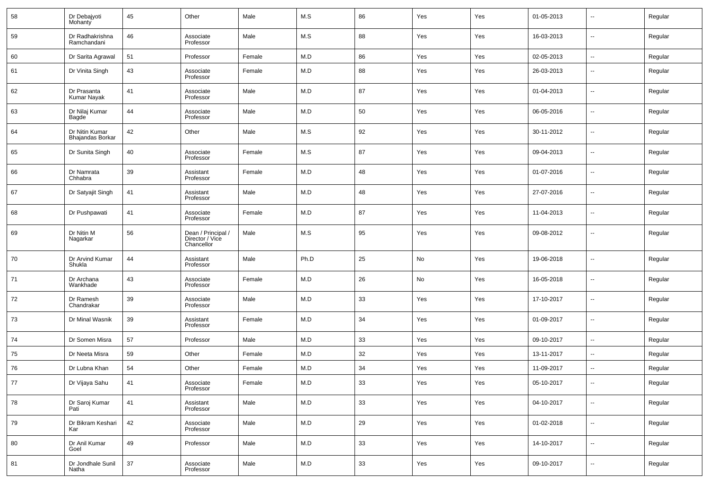| 58 | Dr Debajyoti<br>Mohanty            | 45 | Other                                               | Male   | M.S  | 86 | Yes | Yes | 01-05-2013 | $\overline{\phantom{a}}$ | Regular |
|----|------------------------------------|----|-----------------------------------------------------|--------|------|----|-----|-----|------------|--------------------------|---------|
| 59 | Dr Radhakrishna<br>Ramchandani     | 46 | Associate<br>Professor                              | Male   | M.S  | 88 | Yes | Yes | 16-03-2013 | $\overline{\phantom{a}}$ | Regular |
| 60 | Dr Sarita Agrawal                  | 51 | Professor                                           | Female | M.D  | 86 | Yes | Yes | 02-05-2013 | $\overline{\phantom{a}}$ | Regular |
| 61 | Dr Vinita Singh                    | 43 | Associate<br>Professor                              | Female | M.D  | 88 | Yes | Yes | 26-03-2013 | $\overline{\phantom{a}}$ | Regular |
| 62 | Dr Prasanta<br><b>Kumar Nayak</b>  | 41 | Associate<br>Professor                              | Male   | M.D  | 87 | Yes | Yes | 01-04-2013 | $\overline{\phantom{a}}$ | Regular |
| 63 | Dr Nilaj Kumar<br>Bagde            | 44 | Associate<br>Professor                              | Male   | M.D  | 50 | Yes | Yes | 06-05-2016 | $\overline{\phantom{a}}$ | Regular |
| 64 | Dr Nitin Kumar<br>Bhajandas Borkar | 42 | Other                                               | Male   | M.S  | 92 | Yes | Yes | 30-11-2012 | $\overline{\phantom{a}}$ | Regular |
| 65 | Dr Sunita Singh                    | 40 | Associate<br>Professor                              | Female | M.S  | 87 | Yes | Yes | 09-04-2013 | $\overline{\phantom{a}}$ | Regular |
| 66 | Dr Namrata<br>Chhabra              | 39 | Assistant<br>Professor                              | Female | M.D  | 48 | Yes | Yes | 01-07-2016 | $\overline{\phantom{a}}$ | Regular |
| 67 | Dr Satyajit Singh                  | 41 | Assistant<br>Professor                              | Male   | M.D  | 48 | Yes | Yes | 27-07-2016 | $\overline{\phantom{a}}$ | Regular |
| 68 | Dr Pushpawati                      | 41 | Associate<br>Professor                              | Female | M.D  | 87 | Yes | Yes | 11-04-2013 | $\overline{\phantom{a}}$ | Regular |
| 69 | Dr Nitin M<br>Nagarkar             | 56 | Dean / Principal /<br>Director / Vice<br>Chancellor | Male   | M.S  | 95 | Yes | Yes | 09-08-2012 | $\overline{\phantom{a}}$ | Regular |
| 70 | Dr Arvind Kumar<br>Shukla          | 44 | Assistant<br>Professor                              | Male   | Ph.D | 25 | No  | Yes | 19-06-2018 | $\overline{\phantom{a}}$ | Regular |
| 71 | Dr Archana<br>Wankhade             | 43 | Associate<br>Professor                              | Female | M.D  | 26 | No  | Yes | 16-05-2018 | $\overline{\phantom{a}}$ | Regular |
| 72 | Dr Ramesh<br>Chandrakar            | 39 | Associate<br>Professor                              | Male   | M.D  | 33 | Yes | Yes | 17-10-2017 | $\overline{\phantom{a}}$ | Regular |
| 73 | Dr Minal Wasnik                    | 39 | Assistant<br>Professor                              | Female | M.D  | 34 | Yes | Yes | 01-09-2017 | $\overline{\phantom{a}}$ | Regular |
| 74 | Dr Somen Misra                     | 57 | Professor                                           | Male   | M.D  | 33 | Yes | Yes | 09-10-2017 | ۰.                       | Regular |
| 75 | Dr Neeta Misra                     | 59 | Other                                               | Female | M.D  | 32 | Yes | Yes | 13-11-2017 | $\overline{\phantom{a}}$ | Regular |
| 76 | Dr Lubna Khan                      | 54 | Other                                               | Female | M.D  | 34 | Yes | Yes | 11-09-2017 | $\overline{\phantom{a}}$ | Regular |
| 77 | Dr Vijaya Sahu                     | 41 | Associate<br>Professor                              | Female | M.D  | 33 | Yes | Yes | 05-10-2017 | $\overline{\phantom{a}}$ | Regular |
| 78 | Dr Saroj Kumar<br>Pati             | 41 | Assistant<br>Professor                              | Male   | M.D  | 33 | Yes | Yes | 04-10-2017 | $\overline{\phantom{a}}$ | Regular |
| 79 | Dr Bikram Keshari<br>Kar           | 42 | Associate<br>Professor                              | Male   | M.D  | 29 | Yes | Yes | 01-02-2018 | $\overline{\phantom{a}}$ | Regular |
| 80 | Dr Anil Kumar<br>Goel              | 49 | Professor                                           | Male   | M.D  | 33 | Yes | Yes | 14-10-2017 | $\overline{\phantom{a}}$ | Regular |
| 81 | Dr Jondhale Sunil<br>Natha         | 37 | Associate<br>Professor                              | Male   | M.D  | 33 | Yes | Yes | 09-10-2017 | ۰.                       | Regular |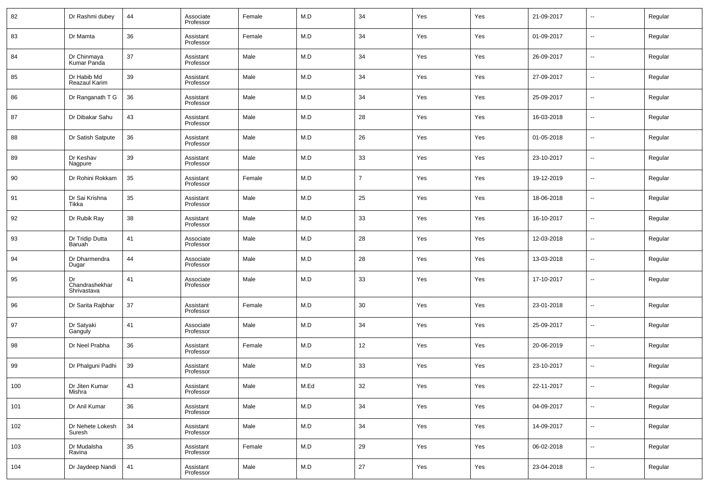| 82  | Dr Rashmi dubey                     | 44 | Associate<br>Professor | Female | M.D  | 34             | Yes | Yes | 21-09-2017 | $\sim$                   | Regular |
|-----|-------------------------------------|----|------------------------|--------|------|----------------|-----|-----|------------|--------------------------|---------|
| 83  | Dr Mamta                            | 36 | Assistant<br>Professor | Female | M.D  | 34             | Yes | Yes | 01-09-2017 | $\sim$                   | Regular |
| 84  | Dr Chinmaya<br>Kumar Panda          | 37 | Assistant<br>Professor | Male   | M.D  | 34             | Yes | Yes | 26-09-2017 | $\overline{\phantom{a}}$ | Regular |
| 85  | Dr Habib Md<br>Reazaul Karim        | 39 | Assistant<br>Professor | Male   | M.D  | 34             | Yes | Yes | 27-09-2017 | $\sim$                   | Regular |
| 86  | Dr Ranganath T G                    | 36 | Assistant<br>Professor | Male   | M.D  | 34             | Yes | Yes | 25-09-2017 | $\overline{\phantom{a}}$ | Regular |
| 87  | Dr Dibakar Sahu                     | 43 | Assistant<br>Professor | Male   | M.D  | 28             | Yes | Yes | 16-03-2018 | $\sim$                   | Regular |
| 88  | Dr Satish Satpute                   | 36 | Assistant<br>Professor | Male   | M.D  | 26             | Yes | Yes | 01-05-2018 | $\overline{\phantom{a}}$ | Regular |
| 89  | Dr Keshav<br>Nagpure                | 39 | Assistant<br>Professor | Male   | M.D  | 33             | Yes | Yes | 23-10-2017 | $\sim$                   | Regular |
| 90  | Dr Rohini Rokkam                    | 35 | Assistant<br>Professor | Female | M.D  | $\overline{7}$ | Yes | Yes | 19-12-2019 | $\overline{\phantom{a}}$ | Regular |
| 91  | Dr Sai Krishna<br>Tikka             | 35 | Assistant<br>Professor | Male   | M.D  | 25             | Yes | Yes | 18-06-2018 | $\overline{\phantom{a}}$ | Regular |
| 92  | Dr Rubik Ray                        | 38 | Assistant<br>Professor | Male   | M.D  | 33             | Yes | Yes | 16-10-2017 | --                       | Regular |
| 93  | Dr Tridip Dutta<br><b>Baruah</b>    | 41 | Associate<br>Professor | Male   | M.D  | 28             | Yes | Yes | 12-03-2018 | ш.                       | Regular |
| 94  | Dr Dharmendra<br>Dugar              | 44 | Associate<br>Professor | Male   | M.D  | 28             | Yes | Yes | 13-03-2018 | --                       | Regular |
| 95  | Dr<br>Chandrashekhar<br>Shrivastava | 41 | Associate<br>Professor | Male   | M.D  | 33             | Yes | Yes | 17-10-2017 | --                       | Regular |
| 96  | Dr Sarita Rajbhar                   | 37 | Assistant<br>Professor | Female | M.D  | 30             | Yes | Yes | 23-01-2018 | $\overline{\phantom{a}}$ | Regular |
| 97  | Dr Satyaki<br>Ganguly               | 41 | Associate<br>Professor | Male   | M.D  | 34             | Yes | Yes | 25-09-2017 | $\overline{a}$           | Regular |
| 98  | Dr Neel Prabha                      | 36 | Assistant<br>Professor | Female | M.D  | 12             | Yes | Yes | 20-06-2019 | $\overline{\phantom{a}}$ | Regular |
| 99  | Dr Phalguni Padhi                   | 39 | Assistant<br>Professor | Male   | M.D  | 33             | Yes | Yes | 23-10-2017 | $\overline{\phantom{a}}$ | Regular |
| 100 | Dr Jiten Kumar<br>Mishra            | 43 | Assistant<br>Professor | Male   | M.Ed | $32\,$         | Yes | Yes | 22-11-2017 |                          | Regular |
| 101 | Dr Anil Kumar                       | 36 | Assistant<br>Professor | Male   | M.D  | 34             | Yes | Yes | 04-09-2017 | u,                       | Regular |
| 102 | Dr Nehete Lokesh<br>Suresh          | 34 | Assistant<br>Professor | Male   | M.D  | 34             | Yes | Yes | 14-09-2017 | u,                       | Regular |
| 103 | Dr Mudalsha<br>Ravina               | 35 | Assistant<br>Professor | Female | M.D  | 29             | Yes | Yes | 06-02-2018 | u,                       | Regular |
| 104 | Dr Jaydeep Nandi                    | 41 | Assistant<br>Professor | Male   | M.D  | 27             | Yes | Yes | 23-04-2018 | u,                       | Regular |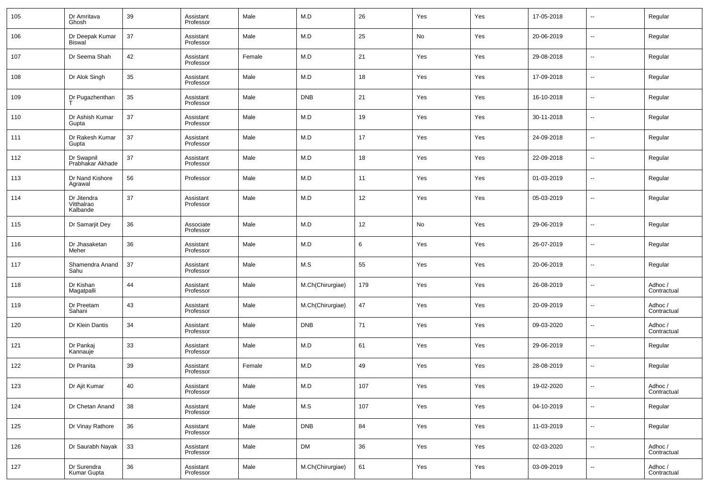| 105 | Dr Amritava<br>Ghosh                  | 39 | Assistant<br>Professor | Male   | M.D              | 26  | Yes | Yes | 17-05-2018 | $\overline{\phantom{a}}$ | Regular                |
|-----|---------------------------------------|----|------------------------|--------|------------------|-----|-----|-----|------------|--------------------------|------------------------|
| 106 | Dr Deepak Kumar<br><b>Biswal</b>      | 37 | Assistant<br>Professor | Male   | M.D              | 25  | No  | Yes | 20-06-2019 | $\overline{\phantom{a}}$ | Regular                |
| 107 | Dr Seema Shah                         | 42 | Assistant<br>Professor | Female | M.D              | 21  | Yes | Yes | 29-08-2018 | $\overline{\phantom{a}}$ | Regular                |
| 108 | Dr Alok Singh                         | 35 | Assistant<br>Professor | Male   | M.D              | 18  | Yes | Yes | 17-09-2018 | $\overline{\phantom{a}}$ | Regular                |
| 109 | Dr Pugazhenthan                       | 35 | Assistant<br>Professor | Male   | <b>DNB</b>       | 21  | Yes | Yes | 16-10-2018 | $\sim$                   | Regular                |
| 110 | Dr Ashish Kumar<br>Gupta              | 37 | Assistant<br>Professor | Male   | M.D              | 19  | Yes | Yes | 30-11-2018 | $\overline{\phantom{a}}$ | Regular                |
| 111 | Dr Rakesh Kumar<br>Gupta              | 37 | Assistant<br>Professor | Male   | M.D              | 17  | Yes | Yes | 24-09-2018 | $\sim$                   | Regular                |
| 112 | Dr Swapnil<br>Prabhakar Akhade        | 37 | Assistant<br>Professor | Male   | M.D              | 18  | Yes | Yes | 22-09-2018 | $\overline{\phantom{a}}$ | Regular                |
| 113 | Dr Nand Kishore<br>Agrawal            | 56 | Professor              | Male   | M.D              | 11  | Yes | Yes | 01-03-2019 | $\overline{\phantom{a}}$ | Regular                |
| 114 | Dr Jitendra<br>Vitthalrao<br>Kalbande | 37 | Assistant<br>Professor | Male   | M.D              | 12  | Yes | Yes | 05-03-2019 | $\overline{a}$           | Regular                |
| 115 | Dr Samarjit Dey                       | 36 | Associate<br>Professor | Male   | M.D              | 12  | No  | Yes | 29-06-2019 | --                       | Regular                |
| 116 | Dr Jhasaketan<br>Meher                | 36 | Assistant<br>Professor | Male   | M.D              | 6   | Yes | Yes | 26-07-2019 | --                       | Regular                |
| 117 | Shamendra Anand<br>Sahu               | 37 | Assistant<br>Professor | Male   | M.S              | 55  | Yes | Yes | 20-06-2019 | ш.                       | Regular                |
| 118 | Dr Kishan<br>Magatpalli               | 44 | Assistant<br>Professor | Male   | M.Ch(Chirurgiae) | 179 | Yes | Yes | 26-08-2019 | $\overline{\phantom{a}}$ | Adhoc /<br>Contractual |
| 119 | Dr Preetam<br>Sahani                  | 43 | Assistant<br>Professor | Male   | M.Ch(Chirurgiae) | 47  | Yes | Yes | 20-09-2019 | ш.                       | Adhoc /<br>Contractual |
| 120 | Dr Klein Dantis                       | 34 | Assistant<br>Professor | Male   | <b>DNB</b>       | 71  | Yes | Yes | 09-03-2020 | $\overline{\phantom{a}}$ | Adhoc /<br>Contractual |
| 121 | Dr Pankaj<br>Kannauje                 | 33 | Assistant<br>Professor | Male   | M.D              | 61  | Yes | Yes | 29-06-2019 | --                       | Regular                |
| 122 | Dr Pranita                            | 39 | Assistant<br>Professor | Female | M.D              | 49  | Yes | Yes | 28-08-2019 | ш.                       | Regular                |
| 123 | Dr Ajit Kumar                         | 40 | Assistant<br>Professor | Male   | M.D              | 107 | Yes | Yes | 19-02-2020 |                          | Adhoc/<br>Contractual  |
| 124 | Dr Chetan Anand                       | 38 | Assistant<br>Professor | Male   | M.S              | 107 | Yes | Yes | 04-10-2019 | $\overline{\phantom{a}}$ | Regular                |
| 125 | Dr Vinay Rathore                      | 36 | Assistant<br>Professor | Male   | DNB              | 84  | Yes | Yes | 11-03-2019 | ٠.                       | Regular                |
| 126 | Dr Saurabh Nayak                      | 33 | Assistant<br>Professor | Male   | <b>DM</b>        | 36  | Yes | Yes | 02-03-2020 | ٠.                       | Adhoc /<br>Contractual |
| 127 | Dr Surendra<br>Kumar Gupta            | 36 | Assistant<br>Professor | Male   | M.Ch(Chirurgiae) | 61  | Yes | Yes | 03-09-2019 | ٠.                       | Adhoc /<br>Contractual |